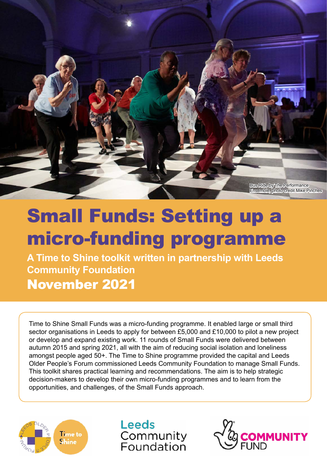

# Small Funds: Setting up a micro-funding programme

**A Time to Shine toolkit written in partnership with Leeds Community Foundation** November 2021

Time to Shine Small Funds was a micro-funding programme. It enabled large or small third sector organisations in Leeds to apply for between £5,000 and £10,000 to pilot a new project or develop and expand existing work. 11 rounds of Small Funds were delivered between autumn 2015 and spring 2021, all with the aim of reducing social isolation and loneliness amongst people aged 50+. The Time to Shine programme provided the capital and Leeds Older People's Forum commissioned Leeds Community Foundation to manage Small Funds. This toolkit shares practical learning and recommendations. The aim is to help strategic decision-makers to develop their own micro-funding programmes and to learn from the opportunities, and challenges, of the Small Funds approach.



**Leeds** Community<br>Foundation

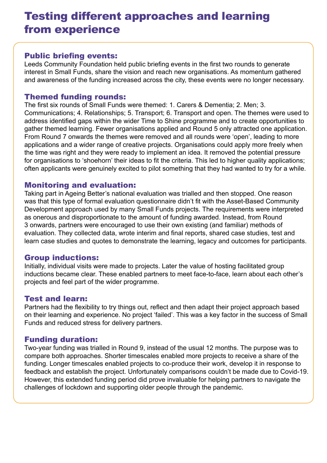# Testing different approaches and learning from experience

## Public briefing events:

Leeds Community Foundation held public briefing events in the first two rounds to generate interest in Small Funds, share the vision and reach new organisations. As momentum gathered and awareness of the funding increased across the city, these events were no longer necessary.

## Themed funding rounds:

The first six rounds of Small Funds were themed: 1. Carers & Dementia; 2. Men; 3. Communications; 4. Relationships; 5. Transport; 6. Transport and open. The themes were used to address identified gaps within the wider Time to Shine programme and to create opportunities to gather themed learning. Fewer organisations applied and Round 5 only attracted one application. From Round 7 onwards the themes were removed and all rounds were 'open', leading to more applications and a wider range of creative projects. Organisations could apply more freely when the time was right and they were ready to implement an idea. It removed the potential pressure for organisations to 'shoehorn' their ideas to fit the criteria. This led to higher quality applications; often applicants were genuinely excited to pilot something that they had wanted to try for a while.

## Monitoring and evaluation:

Taking part in Ageing Better's national evaluation was trialled and then stopped. One reason was that this type of formal evaluation questionnaire didn't fit with the Asset-Based Community Development approach used by many Small Funds projects. The requirements were interpreted as onerous and disproportionate to the amount of funding awarded. Instead, from Round 3 onwards, partners were encouraged to use their own existing (and familiar) methods of evaluation. They collected data, wrote interim and final reports, shared case studies, test and learn case studies and quotes to demonstrate the learning, legacy and outcomes for participants.

#### Group inductions:

Initially, individual visits were made to projects. Later the value of hosting facilitated group inductions became clear. These enabled partners to meet face-to-face, learn about each other's projects and feel part of the wider programme.

#### Test and learn:

Partners had the flexibility to try things out, reflect and then adapt their project approach based on their learning and experience. No project 'failed'. This was a key factor in the success of Small Funds and reduced stress for delivery partners.

#### Funding duration:

Two-year funding was trialled in Round 9, instead of the usual 12 months. The purpose was to compare both approaches. Shorter timescales enabled more projects to receive a share of the funding. Longer timescales enabled projects to co-produce their work, develop it in response to feedback and establish the project. Unfortunately comparisons couldn't be made due to Covid-19. However, this extended funding period did prove invaluable for helping partners to navigate the challenges of lockdown and supporting older people through the pandemic.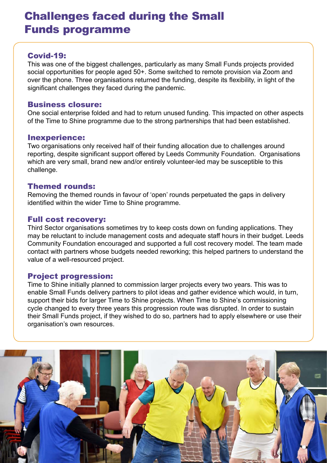# Challenges faced during the Small Funds programme

# Covid-19:

This was one of the biggest challenges, particularly as many Small Funds projects provided social opportunities for people aged 50+. Some switched to remote provision via Zoom and over the phone. Three organisations returned the funding, despite its flexibility, in light of the significant challenges they faced during the pandemic.

## Business closure:

One social enterprise folded and had to return unused funding. This impacted on other aspects of the Time to Shine programme due to the strong partnerships that had been established.

## Inexperience:

Two organisations only received half of their funding allocation due to challenges around reporting, despite significant support offered by Leeds Community Foundation. Organisations which are very small, brand new and/or entirely volunteer-led may be susceptible to this challenge.

# Themed rounds:

Removing the themed rounds in favour of 'open' rounds perpetuated the gaps in delivery identified within the wider Time to Shine programme.

# Full cost recovery:

Third Sector organisations sometimes try to keep costs down on funding applications. They may be reluctant to include management costs and adequate staff hours in their budget. Leeds Community Foundation encouraged and supported a full cost recovery model. The team made contact with partners whose budgets needed reworking; this helped partners to understand the value of a well-resourced project.

# Project progression:

Time to Shine initially planned to commission larger projects every two years. This was to enable Small Funds delivery partners to pilot ideas and gather evidence which would, in turn, support their bids for larger Time to Shine projects. When Time to Shine's commissioning cycle changed to every three years this progression route was disrupted. In order to sustain their Small Funds project, if they wished to do so, partners had to apply elsewhere or use their organisation's own resources.